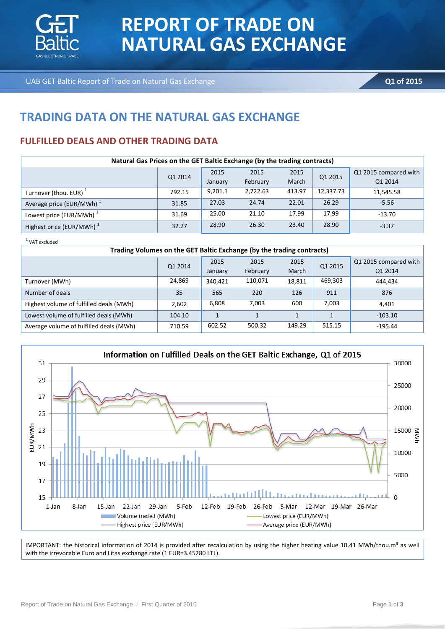

# **REPORT OF TRADE ON NATURAL GAS EXCHANGE**

UAB GET Baltic Report of Trade on Natural Gas Exchange **Q1 of 2015 Q1 of 2015** 

## **TRADING DATA ON THE NATURAL GAS EXCHANGE**

### **FULFILLED DEALS AND OTHER TRADING DATA**

| Natural Gas Prices on the GET Baltic Exchange (by the trading contracts) |         |         |          |        |           |                       |  |  |
|--------------------------------------------------------------------------|---------|---------|----------|--------|-----------|-----------------------|--|--|
|                                                                          | Q1 2014 | 2015    | 2015     | 2015   | Q1 2015   | Q1 2015 compared with |  |  |
|                                                                          |         | January | February | March  |           | Q1 2014               |  |  |
| Turnover (thou. EUR) <sup>1</sup>                                        | 792.15  | 9,201.1 | 2,722.63 | 413.97 | 12,337.73 | 11,545.58             |  |  |
| Average price (EUR/MWh) <sup>1</sup>                                     | 31.85   | 27.03   | 24.74    | 22.01  | 26.29     | $-5.56$               |  |  |
| Lowest price (EUR/MWh) <sup>1</sup>                                      | 31.69   | 25.00   | 21.10    | 17.99  | 17.99     | $-13.70$              |  |  |
| Highest price (EUR/MWh) <sup>1</sup>                                     | 32.27   | 28.90   | 26.30    | 23.40  | 28.90     | $-3.37$               |  |  |

 $^1$  VAT excluded

| Trading Volumes on the GET Baltic Exchange (by the trading contracts) |         |         |          |        |         |                       |  |
|-----------------------------------------------------------------------|---------|---------|----------|--------|---------|-----------------------|--|
|                                                                       | Q1 2014 | 2015    | 2015     | 2015   | Q1 2015 | Q1 2015 compared with |  |
|                                                                       |         | January | February | March  |         | Q1 2014               |  |
| Turnover (MWh)                                                        | 24,869  | 340,421 | 110,071  | 18,811 | 469,303 | 444,434               |  |
| Number of deals                                                       | 35      | 565     | 220      | 126    | 911     | 876                   |  |
| Highest volume of fulfilled deals (MWh)                               | 2,602   | 6,808   | 7,003    | 600    | 7,003   | 4.401                 |  |
| Lowest volume of fulfilled deals (MWh)                                | 104.10  | 1       |          |        |         | $-103.10$             |  |
| Average volume of fulfilled deals (MWh)                               | 710.59  | 602.52  | 500.32   | 149.29 | 515.15  | $-195.44$             |  |



IMPORTANT: the historical information of 2014 is provided after recalculation by using the higher heating value 10.41 MWh/thou.m<sup>3</sup> as well with the irrevocable Euro and Litas exchange rate (1 EUR=3.45280 LTL).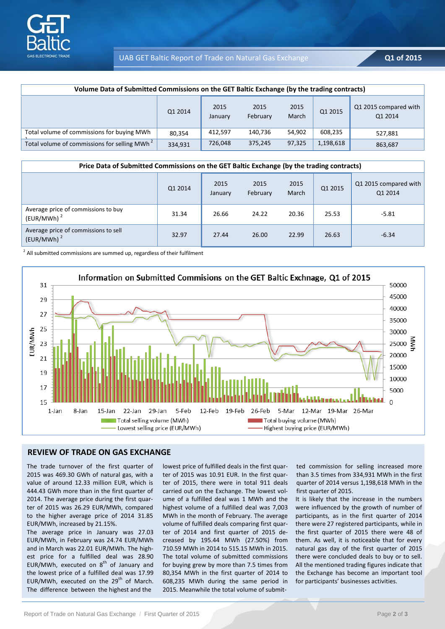

#### UAB GET Baltic Report of Trade on Natural Gas Exchange **Q1 of 2015**

| Volume Data of Submitted Commissions on the GET Baltic Exchange (by the trading contracts) |         |                 |                  |               |           |                                  |
|--------------------------------------------------------------------------------------------|---------|-----------------|------------------|---------------|-----------|----------------------------------|
|                                                                                            | Q1 2014 | 2015<br>January | 2015<br>February | 2015<br>March | Q1 2015   | Q1 2015 compared with<br>Q1 2014 |
| Total volume of commissions for buying MWh                                                 | 80.354  | 412.597         | 140.736          | 54.902        | 608,235   | 527,881                          |
| Total volume of commissions for selling MWh <sup>2</sup>                                   | 334,931 | 726,048         | 375,245          | 97,325        | 1,198,618 | 863,687                          |

| Price Data of Submitted Commissions on the GET Baltic Exchange (by the trading contracts) |         |                 |                  |               |         |                                  |
|-------------------------------------------------------------------------------------------|---------|-----------------|------------------|---------------|---------|----------------------------------|
|                                                                                           | Q1 2014 | 2015<br>January | 2015<br>February | 2015<br>March | Q1 2015 | Q1 2015 compared with<br>Q1 2014 |
| Average price of commissions to buy<br>(EUR/MWh) <sup>2</sup>                             | 31.34   | 26.66           | 24.22            | 20.36         | 25.53   | $-5.81$                          |
| Average price of commissions to sell<br>(EUR/MWh) <sup>2</sup>                            | 32.97   | 27.44           | 26.00            | 22.99         | 26.63   | $-6.34$                          |

 $2$  All submitted commissions are summed up, regardless of their fulfilment



#### **REVIEW OF TRADE ON GAS EXCHANGE**

The trade turnover of the first quarter of 2015 was 469.30 GWh of natural gas, with a value of around 12.33 million EUR, which is 444.43 GWh more than in the first quarter of 2014. The average price during the first quarter of 2015 was 26.29 EUR/MWh, compared to the higher average price of 2014 31.85 EUR/MWh, increased by 21.15%.

The average price in January was 27.03 EUR/MWh, in February was 24.74 EUR/MWh and in March was 22.01 EUR/MWh. The highest price for a fulfilled deal was 28.90 EUR/MWh, executed on  $8<sup>th</sup>$  of January and the lowest price of a fulfilled deal was 17.99 EUR/MWh, executed on the 29<sup>th</sup> of March. The difference between the highest and the

lowest price of fulfilled deals in the first quarter of 2015 was 10.91 EUR. In the first quarter of 2015, there were in total 911 deals carried out on the Exchange. The lowest volume of a fulfilled deal was 1 MWh and the highest volume of a fulfilled deal was 7,003 MWh in the month of February. The average volume of fulfilled deals comparing first quarter of 2014 and first quarter of 2015 decreased by 195.44 MWh (27.50%) from 710.59 MWh in 2014 to 515.15 MWh in 2015. The total volume of submitted commissions for buying grew by more than 7.5 times from 80,354 MWh in the first quarter of 2014 to 608,235 MWh during the same period in 2015. Meanwhile the total volume of submit-

ted commission for selling increased more than 3.5 times from 334,931 MWh in the first quarter of 2014 versus 1,198,618 MWh in the first quarter of 2015.

It is likely that the increase in the numbers were influenced by the growth of number of participants, as in the first quarter of 2014 there were 27 registered participants, while in the first quarter of 2015 there were 48 of them. As well, it is noticeable that for every natural gas day of the first quarter of 2015 there were concluded deals to buy or to sell. All the mentioned trading figures indicate that the Exchange has become an important tool for participants' businesses activities.